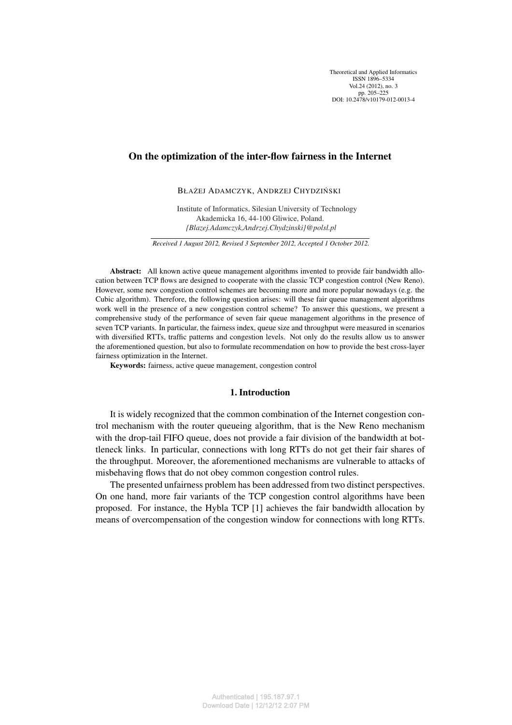Theoretical and Applied Informatics ISSN 1896–5334 Vol. 24 (2012), no. 3 pp. 205–225 DOI: 10.2478/v10179-012-0013-4

# On the optimization of the inter-flow fairness in the Internet

BŁAŻEJ ADAMCZYK, ANDRZEJ CHYDZIŃSKI

Institute of Informatics, Silesian University of Technology Akademicka 16, 44-100 Gliwice, Poland. *{Blazej.Adamczyk,Andrzej.Chydzinski}@polsl.pl*

*Received 1 August 2012, Revised 3 September 2012, Accepted 1 October 2012.*

Abstract: All known active queue management algorithms invented to provide fair bandwidth allocation between TCP flows are designed to cooperate with the classic TCP congestion control (New Reno). However, some new congestion control schemes are becoming more and more popular nowadays (e.g. the Cubic algorithm). Therefore, the following question arises: will these fair queue management algorithms work well in the presence of a new congestion control scheme? To answer this questions, we present a comprehensive study of the performance of seven fair queue management algorithms in the presence of seven TCP variants. In particular, the fairness index, queue size and throughput were measured in scenarios with diversified RTTs, traffic patterns and congestion levels. Not only do the results allow us to answer the aforementioned question, but also to formulate recommendation on how to provide the best cross-layer fairness optimization in the Internet.

Keywords: fairness, active queue management, congestion control

## 1. Introduction

It is widely recognized that the common combination of the Internet congestion control mechanism with the router queueing algorithm, that is the New Reno mechanism with the drop-tail FIFO queue, does not provide a fair division of the bandwidth at bottleneck links. In particular, connections with long RTTs do not get their fair shares of the throughput. Moreover, the aforementioned mechanisms are vulnerable to attacks of misbehaving flows that do not obey common congestion control rules.

The presented unfairness problem has been addressed from two distinct perspectives. On one hand, more fair variants of the TCP congestion control algorithms have been proposed. For instance, the Hybla TCP [1] achieves the fair bandwidth allocation by means of overcompensation of the congestion window for connections with long RTTs.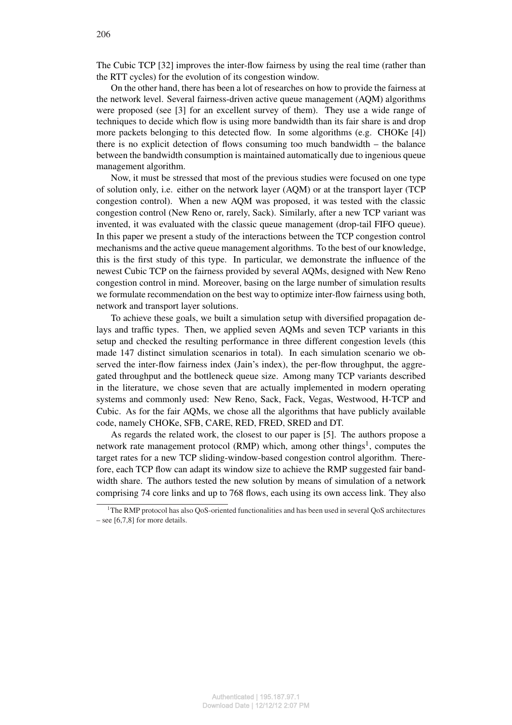The Cubic TCP [32] improves the inter-flow fairness by using the real time (rather than the RTT cycles) for the evolution of its congestion window.

On the other hand, there has been a lot of researches on how to provide the fairness at the network level. Several fairness-driven active queue management (AQM) algorithms were proposed (see [3] for an excellent survey of them). They use a wide range of techniques to decide which flow is using more bandwidth than its fair share is and drop more packets belonging to this detected flow. In some algorithms (e.g. CHOKe [4]) there is no explicit detection of flows consuming too much bandwidth – the balance between the bandwidth consumption is maintained automatically due to ingenious queue management algorithm.

Now, it must be stressed that most of the previous studies were focused on one type of solution only, i.e. either on the network layer (AQM) or at the transport layer (TCP congestion control). When a new AQM was proposed, it was tested with the classic congestion control (New Reno or, rarely, Sack). Similarly, after a new TCP variant was invented, it was evaluated with the classic queue management (drop-tail FIFO queue). In this paper we present a study of the interactions between the TCP congestion control mechanisms and the active queue management algorithms. To the best of our knowledge, this is the first study of this type. In particular, we demonstrate the influence of the newest Cubic TCP on the fairness provided by several AQMs, designed with New Reno congestion control in mind. Moreover, basing on the large number of simulation results we formulate recommendation on the best way to optimize inter-flow fairness using both, network and transport layer solutions.

To achieve these goals, we built a simulation setup with diversified propagation delays and traffic types. Then, we applied seven AQMs and seven TCP variants in this setup and checked the resulting performance in three different congestion levels (this made 147 distinct simulation scenarios in total). In each simulation scenario we observed the inter-flow fairness index (Jain's index), the per-flow throughput, the aggregated throughput and the bottleneck queue size. Among many TCP variants described in the literature, we chose seven that are actually implemented in modern operating systems and commonly used: New Reno, Sack, Fack, Vegas, Westwood, H-TCP and Cubic. As for the fair AQMs, we chose all the algorithms that have publicly available code, namely CHOKe, SFB, CARE, RED, FRED, SRED and DT.

As regards the related work, the closest to our paper is [5]. The authors propose a network rate management protocol (RMP) which, among other things<sup>1</sup>, computes the target rates for a new TCP sliding-window-based congestion control algorithm. Therefore, each TCP flow can adapt its window size to achieve the RMP suggested fair bandwidth share. The authors tested the new solution by means of simulation of a network comprising 74 core links and up to 768 flows, each using its own access link. They also

<sup>1</sup>The RMP protocol has also QoS-oriented functionalities and has been used in several QoS architectures – see [6,7,8] for more details.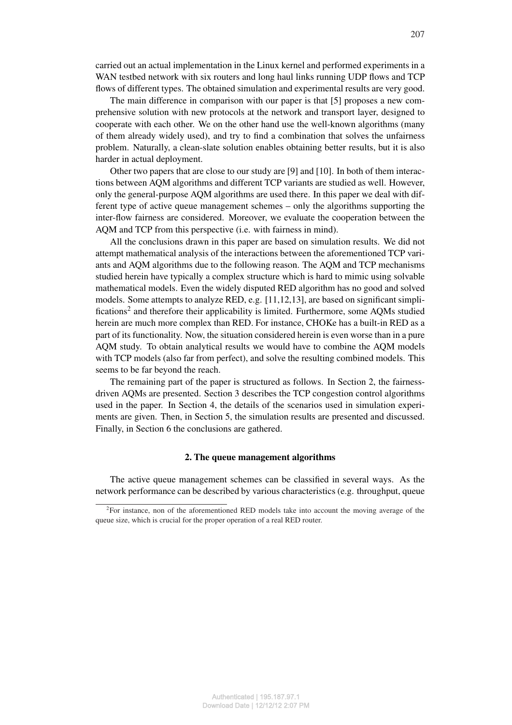carried out an actual implementation in the Linux kernel and performed experiments in a WAN testbed network with six routers and long haul links running UDP flows and TCP flows of different types. The obtained simulation and experimental results are very good.

The main difference in comparison with our paper is that [5] proposes a new comprehensive solution with new protocols at the network and transport layer, designed to cooperate with each other. We on the other hand use the well-known algorithms (many of them already widely used), and try to find a combination that solves the unfairness problem. Naturally, a clean-slate solution enables obtaining better results, but it is also harder in actual deployment.

Other two papers that are close to our study are [9] and [10]. In both of them interactions between AQM algorithms and different TCP variants are studied as well. However, only the general-purpose AQM algorithms are used there. In this paper we deal with different type of active queue management schemes – only the algorithms supporting the inter-flow fairness are considered. Moreover, we evaluate the cooperation between the AQM and TCP from this perspective (i.e. with fairness in mind).

All the conclusions drawn in this paper are based on simulation results. We did not attempt mathematical analysis of the interactions between the aforementioned TCP variants and AQM algorithms due to the following reason. The AQM and TCP mechanisms studied herein have typically a complex structure which is hard to mimic using solvable mathematical models. Even the widely disputed RED algorithm has no good and solved models. Some attempts to analyze RED, e.g. [11,12,13], are based on significant simplifications<sup>2</sup> and therefore their applicability is limited. Furthermore, some AQMs studied herein are much more complex than RED. For instance, CHOKe has a built-in RED as a part of its functionality. Now, the situation considered herein is even worse than in a pure AQM study. To obtain analytical results we would have to combine the AQM models with TCP models (also far from perfect), and solve the resulting combined models. This seems to be far beyond the reach.

The remaining part of the paper is structured as follows. In Section 2, the fairnessdriven AQMs are presented. Section 3 describes the TCP congestion control algorithms used in the paper. In Section 4, the details of the scenarios used in simulation experiments are given. Then, in Section 5, the simulation results are presented and discussed. Finally, in Section 6 the conclusions are gathered.

## 2. The queue management algorithms

The active queue management schemes can be classified in several ways. As the network performance can be described by various characteristics (e.g. throughput, queue

 ${}^{2}$ For instance, non of the aforementioned RED models take into account the moving average of the queue size, which is crucial for the proper operation of a real RED router.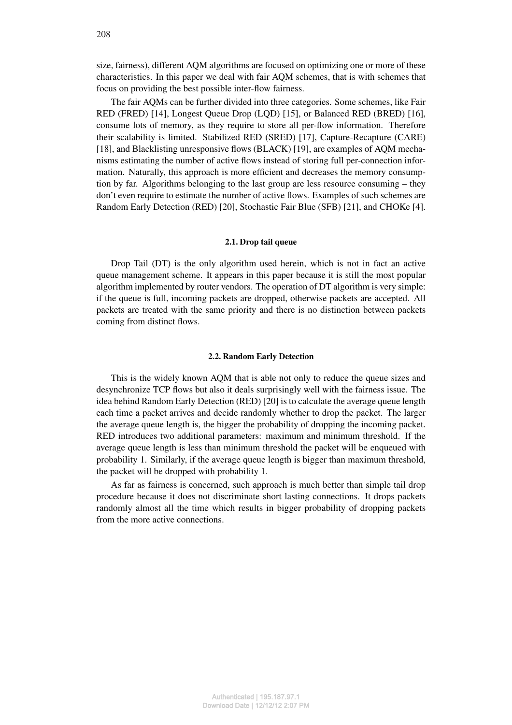size, fairness), different AQM algorithms are focused on optimizing one or more of these characteristics. In this paper we deal with fair AQM schemes, that is with schemes that focus on providing the best possible inter-flow fairness.

The fair AQMs can be further divided into three categories. Some schemes, like Fair RED (FRED) [14], Longest Queue Drop (LQD) [15], or Balanced RED (BRED) [16], consume lots of memory, as they require to store all per-flow information. Therefore their scalability is limited. Stabilized RED (SRED) [17], Capture-Recapture (CARE) [18], and Blacklisting unresponsive flows (BLACK) [19], are examples of AQM mechanisms estimating the number of active flows instead of storing full per-connection information. Naturally, this approach is more efficient and decreases the memory consumption by far. Algorithms belonging to the last group are less resource consuming – they don't even require to estimate the number of active flows. Examples of such schemes are Random Early Detection (RED) [20], Stochastic Fair Blue (SFB) [21], and CHOKe [4].

### 2.1. Drop tail queue

Drop Tail (DT) is the only algorithm used herein, which is not in fact an active queue management scheme. It appears in this paper because it is still the most popular algorithm implemented by router vendors. The operation of DT algorithm is very simple: if the queue is full, incoming packets are dropped, otherwise packets are accepted. All packets are treated with the same priority and there is no distinction between packets coming from distinct flows.

### 2.2. Random Early Detection

This is the widely known AQM that is able not only to reduce the queue sizes and desynchronize TCP flows but also it deals surprisingly well with the fairness issue. The idea behind Random Early Detection (RED) [20] is to calculate the average queue length each time a packet arrives and decide randomly whether to drop the packet. The larger the average queue length is, the bigger the probability of dropping the incoming packet. RED introduces two additional parameters: maximum and minimum threshold. If the average queue length is less than minimum threshold the packet will be enqueued with probability 1. Similarly, if the average queue length is bigger than maximum threshold, the packet will be dropped with probability 1.

As far as fairness is concerned, such approach is much better than simple tail drop procedure because it does not discriminate short lasting connections. It drops packets randomly almost all the time which results in bigger probability of dropping packets from the more active connections.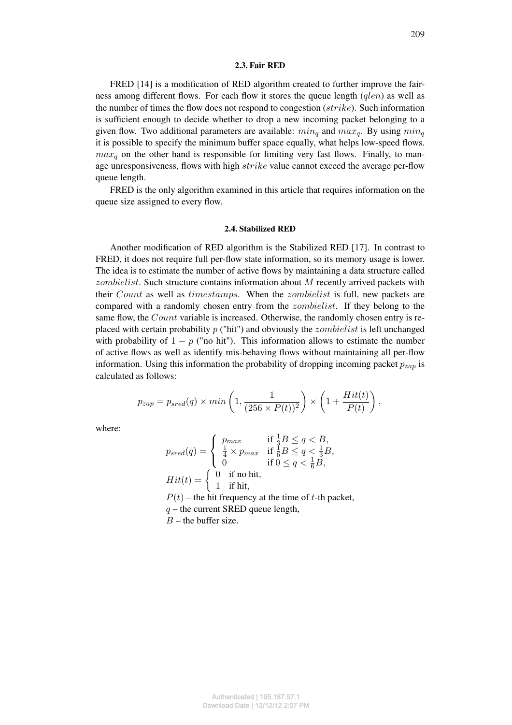### 2.3. Fair RED

FRED [14] is a modification of RED algorithm created to further improve the fairness among different flows. For each flow it stores the queue length (*qlen*) as well as the number of times the flow does not respond to congestion  $(\text{strike})$ . Such information is sufficient enough to decide whether to drop a new incoming packet belonging to a given flow. Two additional parameters are available:  $min_q$  and  $max_q$ . By using  $min_q$ it is possible to specify the minimum buffer space equally, what helps low-speed flows.  $max<sub>q</sub>$  on the other hand is responsible for limiting very fast flows. Finally, to manage unresponsiveness, flows with high strike value cannot exceed the average per-flow queue length.

FRED is the only algorithm examined in this article that requires information on the queue size assigned to every flow.

#### 2.4. Stabilized RED

Another modification of RED algorithm is the Stabilized RED [17]. In contrast to FRED, it does not require full per-flow state information, so its memory usage is lower. The idea is to estimate the number of active flows by maintaining a data structure called *zombielist*. Such structure contains information about  $M$  recently arrived packets with their *Count* as well as *timestamps*. When the *zombielist* is full, new packets are compared with a randomly chosen entry from the *zombielist*. If they belong to the same flow, the *Count* variable is increased. Otherwise, the randomly chosen entry is replaced with certain probability  $p$  ("hit") and obviously the *zombielist* is left unchanged with probability of  $1 - p$  ("no hit"). This information allows to estimate the number of active flows as well as identify mis-behaving flows without maintaining all per-flow information. Using this information the probability of dropping incoming packet  $p_{zap}$  is calculated as follows:

$$
p_{zap} = p_{sred}(q) \times min\left(1, \frac{1}{(256 \times P(t))^2}\right) \times \left(1 + \frac{Hit(t)}{P(t)}\right),
$$

where:

$$
p_{sred}(q) = \begin{cases} p_{max} & \text{if } \frac{1}{3}B \le q < B, \\ \frac{1}{4} \times p_{max} & \text{if } \frac{1}{6}B \le q < \frac{1}{3}B, \\ 0 & \text{if } 0 \le q < \frac{1}{6}B, \end{cases}
$$
\n
$$
Hit(t) = \begin{cases} 0 & \text{if no hit,} \\ 1 & \text{if hit,} \\ 1 & \text{if hit,} \end{cases}
$$
\n
$$
P(t) - \text{the hit frequency at the time of } t \text{-th packet,}
$$
\n
$$
q - \text{the current SRED queue length,}
$$

 $B$  – the buffer size.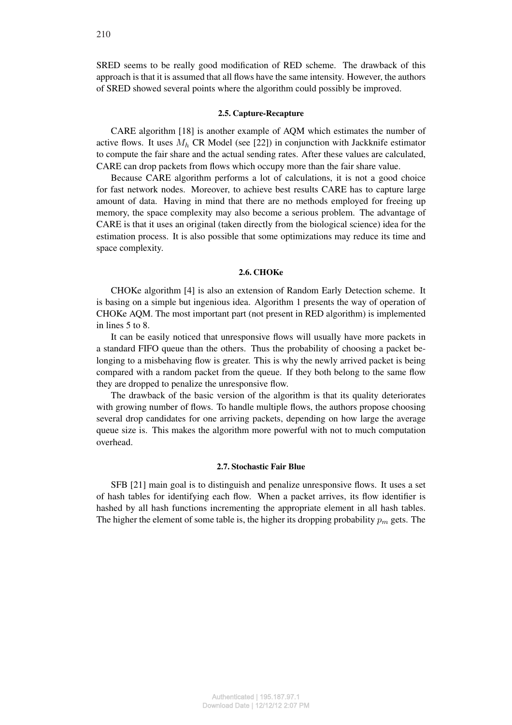SRED seems to be really good modification of RED scheme. The drawback of this approach is that it is assumed that all flows have the same intensity. However, the authors of SRED showed several points where the algorithm could possibly be improved.

#### 2.5. Capture-Recapture

CARE algorithm [18] is another example of AQM which estimates the number of active flows. It uses  $M_h$  CR Model (see [22]) in conjunction with Jackknife estimator to compute the fair share and the actual sending rates. After these values are calculated, CARE can drop packets from flows which occupy more than the fair share value.

Because CARE algorithm performs a lot of calculations, it is not a good choice for fast network nodes. Moreover, to achieve best results CARE has to capture large amount of data. Having in mind that there are no methods employed for freeing up memory, the space complexity may also become a serious problem. The advantage of CARE is that it uses an original (taken directly from the biological science) idea for the estimation process. It is also possible that some optimizations may reduce its time and space complexity.

#### 2.6. CHOKe

CHOKe algorithm [4] is also an extension of Random Early Detection scheme. It is basing on a simple but ingenious idea. Algorithm 1 presents the way of operation of CHOKe AQM. The most important part (not present in RED algorithm) is implemented in lines 5 to 8.

It can be easily noticed that unresponsive flows will usually have more packets in a standard FIFO queue than the others. Thus the probability of choosing a packet belonging to a misbehaving flow is greater. This is why the newly arrived packet is being compared with a random packet from the queue. If they both belong to the same flow they are dropped to penalize the unresponsive flow.

The drawback of the basic version of the algorithm is that its quality deteriorates with growing number of flows. To handle multiple flows, the authors propose choosing several drop candidates for one arriving packets, depending on how large the average queue size is. This makes the algorithm more powerful with not to much computation overhead.

### 2.7. Stochastic Fair Blue

SFB [21] main goal is to distinguish and penalize unresponsive flows. It uses a set of hash tables for identifying each flow. When a packet arrives, its flow identifier is hashed by all hash functions incrementing the appropriate element in all hash tables. The higher the element of some table is, the higher its dropping probability  $p_m$  gets. The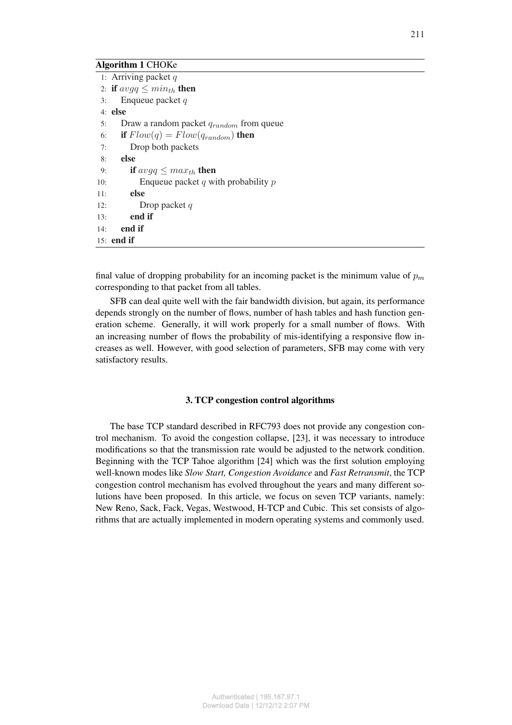# Algorithm 1 CHOKe

|     | 1: Arriving packet $q$                       |
|-----|----------------------------------------------|
|     | 2: if $avgq \leq min_{th}$ then              |
| 3:  | Enqueue packet $q$                           |
|     | $4:$ else                                    |
| 5:  | Draw a random packet $q_{random}$ from queue |
| 6:  | if $Flow(q) = Flow(q_{random})$ then         |
| 7:  | Drop both packets                            |
| 8:  | else                                         |
| 9:  | if $avgq \leq max_{th}$ then                 |
| 10: | Enqueue packet q with probability $p$        |
| 11: | else                                         |
| 12: | Drop packet $q$                              |
| 13: | end if                                       |
| 14: | end if                                       |
|     | $15:$ end if                                 |

final value of dropping probability for an incoming packet is the minimum value of  $p_m$ corresponding to that packet from all tables.

SFB can deal quite well with the fair bandwidth division, but again, its performance depends strongly on the number of flows, number of hash tables and hash function generation scheme. Generally, it will work properly for a small number of flows. With an increasing number of flows the probability of mis-identifying a responsive flow increases as well. However, with good selection of parameters, SFB may come with very satisfactory results.

# 3. TCP congestion control algorithms

The base TCP standard described in RFC793 does not provide any congestion control mechanism. To avoid the congestion collapse, [23], it was necessary to introduce modifications so that the transmission rate would be adjusted to the network condition. Beginning with the TCP Tahoe algorithm [24] which was the first solution employing well-known modes like *Slow Start, Congestion Avoidance* and *Fast Retransmit*, the TCP congestion control mechanism has evolved throughout the years and many different solutions have been proposed. In this article, we focus on seven TCP variants, namely: New Reno, Sack, Fack, Vegas, Westwood, H-TCP and Cubic. This set consists of algorithms that are actually implemented in modern operating systems and commonly used.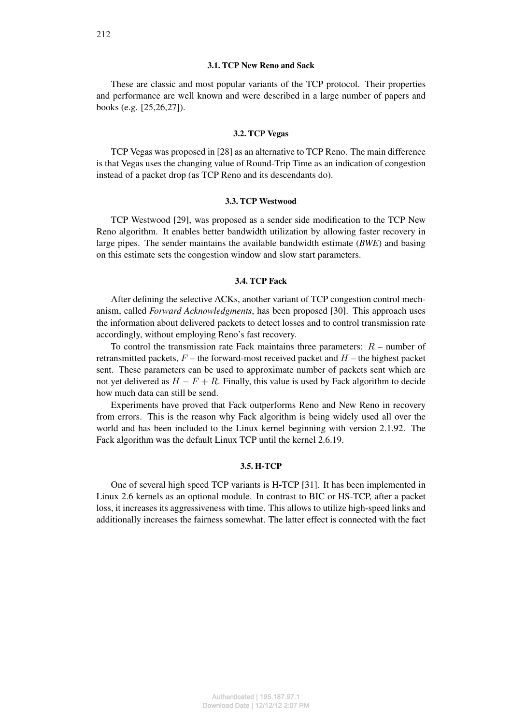## 3.1. TCP New Reno and Sack

These are classic and most popular variants of the TCP protocol. Their properties and performance are well known and were described in a large number of papers and books (e.g. [25,26,27]).

#### 3.2. TCP Vegas

TCP Vegas was proposed in [28] as an alternative to TCP Reno. The main difference is that Vegas uses the changing value of Round-Trip Time as an indication of congestion instead of a packet drop (as TCP Reno and its descendants do).

#### 3.3. TCP Westwood

TCP Westwood [29], was proposed as a sender side modification to the TCP New Reno algorithm. It enables better bandwidth utilization by allowing faster recovery in large pipes. The sender maintains the available bandwidth estimate (*BWE*) and basing on this estimate sets the congestion window and slow start parameters.

## 3.4. TCP Fack

After defining the selective ACKs, another variant of TCP congestion control mechanism, called *Forward Acknowledgments*, has been proposed [30]. This approach uses the information about delivered packets to detect losses and to control transmission rate accordingly, without employing Reno's fast recovery.

To control the transmission rate Fack maintains three parameters:  $R$  – number of retransmitted packets,  $F$  – the forward-most received packet and  $H$  – the highest packet sent. These parameters can be used to approximate number of packets sent which are not yet delivered as  $H - F + R$ . Finally, this value is used by Fack algorithm to decide how much data can still be send.

Experiments have proved that Fack outperforms Reno and New Reno in recovery from errors. This is the reason why Fack algorithm is being widely used all over the world and has been included to the Linux kernel beginning with version 2.1.92. The Fack algorithm was the default Linux TCP until the kernel 2.6.19.

# 3.5. H-TCP

One of several high speed TCP variants is H-TCP [31]. It has been implemented in Linux 2.6 kernels as an optional module. In contrast to BIC or HS-TCP, after a packet loss, it increases its aggressiveness with time. This allows to utilize high-speed links and additionally increases the fairness somewhat. The latter effect is connected with the fact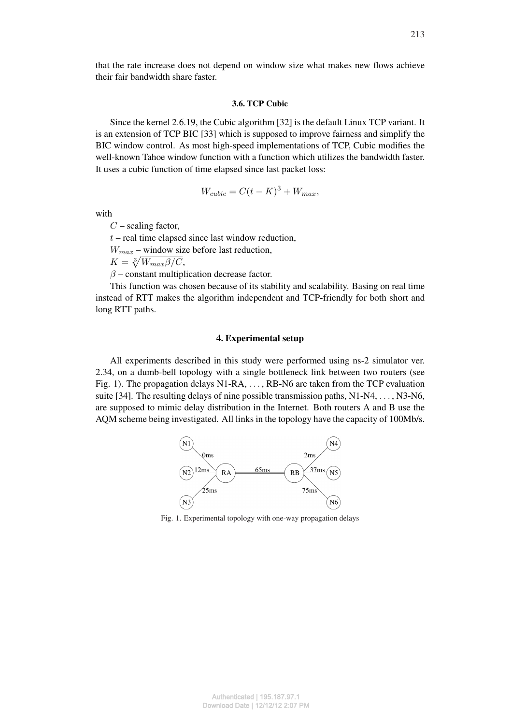that the rate increase does not depend on window size what makes new flows achieve their fair bandwidth share faster.

### 3.6. TCP Cubic

Since the kernel 2.6.19, the Cubic algorithm [32] is the default Linux TCP variant. It is an extension of TCP BIC [33] which is supposed to improve fairness and simplify the BIC window control. As most high-speed implementations of TCP, Cubic modifies the well-known Tahoe window function with a function which utilizes the bandwidth faster. It uses a cubic function of time elapsed since last packet loss:

$$
W_{cubic} = C(t - K)^3 + W_{max},
$$

with

 $C$  – scaling factor,

 $t$  – real time elapsed since last window reduction,

 $W_{max}$  – window size before last reduction,

 $W_{max}$  – window siz<br> $K = \sqrt[3]{W_{max} \beta / C},$ 

 $\beta$  – constant multiplication decrease factor.

This function was chosen because of its stability and scalability. Basing on real time instead of RTT makes the algorithm independent and TCP-friendly for both short and long RTT paths.

## 4. Experimental setup

All experiments described in this study were performed using ns-2 simulator ver. 2.34, on a dumb-bell topology with a single bottleneck link between two routers (see Fig. 1). The propagation delays N1-RA, . . . , RB-N6 are taken from the TCP evaluation suite [34]. The resulting delays of nine possible transmission paths, N1-N4, . . . , N3-N6, are supposed to mimic delay distribution in the Internet. Both routers A and B use the AQM scheme being investigated. All links in the topology have the capacity of 100Mb/s.



Fig. 1. Experimental topology with one-way propagation delays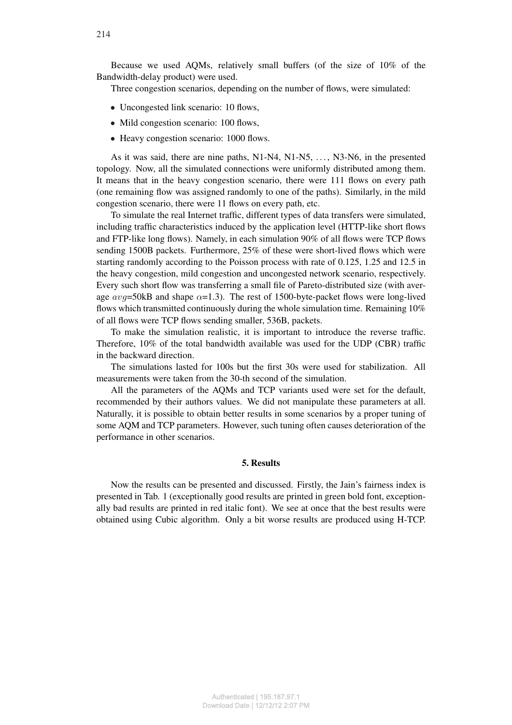Because we used AQMs, relatively small buffers (of the size of 10% of the Bandwidth-delay product) were used.

Three congestion scenarios, depending on the number of flows, were simulated:

- Uncongested link scenario: 10 flows,
- Mild congestion scenario: 100 flows,
- Heavy congestion scenario: 1000 flows.

As it was said, there are nine paths, N1-N4, N1-N5, . . . , N3-N6, in the presented topology. Now, all the simulated connections were uniformly distributed among them. It means that in the heavy congestion scenario, there were 111 flows on every path (one remaining flow was assigned randomly to one of the paths). Similarly, in the mild congestion scenario, there were 11 flows on every path, etc.

To simulate the real Internet traffic, different types of data transfers were simulated, including traffic characteristics induced by the application level (HTTP-like short flows and FTP-like long flows). Namely, in each simulation 90% of all flows were TCP flows sending 1500B packets. Furthermore, 25% of these were short-lived flows which were starting randomly according to the Poisson process with rate of 0.125, 1.25 and 12.5 in the heavy congestion, mild congestion and uncongested network scenario, respectively. Every such short flow was transferring a small file of Pareto-distributed size (with average  $avg=50kB$  and shape  $\alpha=1.3$ ). The rest of 1500-byte-packet flows were long-lived flows which transmitted continuously during the whole simulation time. Remaining 10% of all flows were TCP flows sending smaller, 536B, packets.

To make the simulation realistic, it is important to introduce the reverse traffic. Therefore, 10% of the total bandwidth available was used for the UDP (CBR) traffic in the backward direction.

The simulations lasted for 100s but the first 30s were used for stabilization. All measurements were taken from the 30-th second of the simulation.

All the parameters of the AQMs and TCP variants used were set for the default, recommended by their authors values. We did not manipulate these parameters at all. Naturally, it is possible to obtain better results in some scenarios by a proper tuning of some AQM and TCP parameters. However, such tuning often causes deterioration of the performance in other scenarios.

### 5. Results

Now the results can be presented and discussed. Firstly, the Jain's fairness index is presented in Tab. 1 (exceptionally good results are printed in green bold font, exceptionally bad results are printed in red italic font). We see at once that the best results were obtained using Cubic algorithm. Only a bit worse results are produced using H-TCP.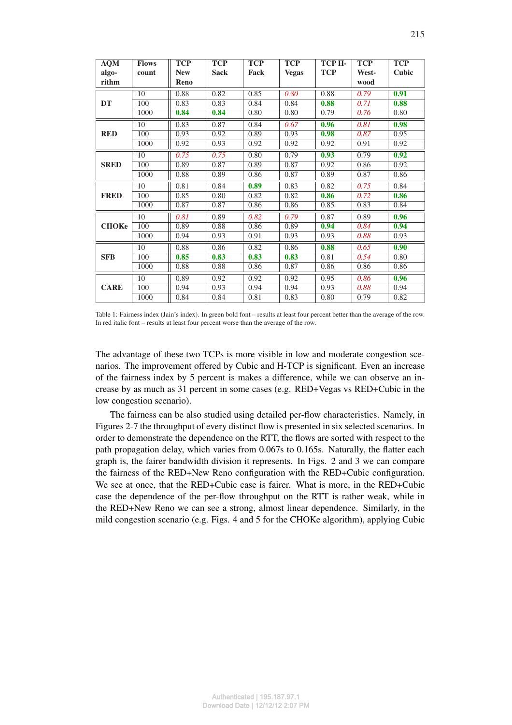| <b>AQM</b>   | <b>Flows</b>     | <b>TCP</b> | <b>TCP</b>  | <b>TCP</b> | <b>TCP</b>   | TCP H-     | <b>TCP</b> | <b>TCP</b> |
|--------------|------------------|------------|-------------|------------|--------------|------------|------------|------------|
| algo-        | count            | <b>New</b> | <b>Sack</b> | Fack       | <b>Vegas</b> | <b>TCP</b> | West-      | Cubic      |
| rithm        |                  | Reno       |             |            |              |            | wood       |            |
|              | 10               | 0.88       | 0.82        | 0.85       | 0.80         | 0.88       | 0.79       | 0.91       |
| <b>DT</b>    | 100              | 0.83       | 0.83        | 0.84       | 0.84         | 0.88       | 0.71       | 0.88       |
|              | 1000             | 0.84       | 0.84        | 0.80       | 0.80         | 0.79       | 0.76       | 0.80       |
|              | 10               | 0.83       | 0.87        | 0.84       | 0.67         | 0.96       | 0.81       | 0.98       |
| <b>RED</b>   | 100              | 0.93       | 0.92        | 0.89       | 0.93         | 0.98       | 0.87       | 0.95       |
|              | 1000             | 0.92       | 0.93        | 0.92       | 0.92         | 0.92       | 0.91       | 0.92       |
|              | 10               | 0.75       | 0.75        | 0.80       | 0.79         | 0.93       | 0.79       | 0.92       |
| <b>SRED</b>  | 100              | 0.89       | 0.87        | 0.89       | 0.87         | 0.92       | 0.86       | 0.92       |
|              | 1000             | 0.88       | 0.89        | 0.86       | 0.87         | 0.89       | 0.87       | 0.86       |
|              | 10               | 0.81       | 0.84        | 0.89       | 0.83         | 0.82       | 0.75       | 0.84       |
| <b>FRED</b>  | $\overline{100}$ | 0.85       | 0.80        | 0.82       | 0.82         | 0.86       | 0.72       | 0.86       |
|              | 1000             | 0.87       | 0.87        | 0.86       | 0.86         | 0.85       | 0.83       | 0.84       |
|              | 10               | 0.81       | 0.89        | 0.82       | 0.79         | 0.87       | 0.89       | 0.96       |
| <b>CHOKe</b> | 100              | 0.89       | 0.88        | 0.86       | 0.89         | 0.94       | 0.84       | 0.94       |
|              | 1000             | 0.94       | 0.93        | 0.91       | 0.93         | 0.93       | 0.88       | 0.93       |
|              | 10               | 0.88       | 0.86        | 0.82       | 0.86         | 0.88       | 0.65       | 0.90       |
| <b>SFB</b>   | 100              | 0.85       | 0.83        | 0.83       | 0.83         | 0.81       | 0.54       | 0.80       |
|              | 1000             | 0.88       | 0.88        | 0.86       | 0.87         | 0.86       | 0.86       | 0.86       |
|              | 10               | 0.89       | 0.92        | 0.92       | 0.92         | 0.95       | 0.86       | 0.96       |
| <b>CARE</b>  | $\overline{100}$ | 0.94       | 0.93        | 0.94       | 0.94         | 0.93       | 0.88       | 0.94       |
|              | 1000             | 0.84       | 0.84        | 0.81       | 0.83         | 0.80       | 0.79       | 0.82       |

Table 1: Fairness index (Jain's index). In green bold font – results at least four percent better than the average of the row. In red italic font – results at least four percent worse than the average of the row.

The advantage of these two TCPs is more visible in low and moderate congestion scenarios. The improvement offered by Cubic and H-TCP is significant. Even an increase of the fairness index by 5 percent is makes a difference, while we can observe an increase by as much as 31 percent in some cases (e.g. RED+Vegas vs RED+Cubic in the low congestion scenario).

The fairness can be also studied using detailed per-flow characteristics. Namely, in Figures 2-7 the throughput of every distinct flow is presented in six selected scenarios. In order to demonstrate the dependence on the RTT, the flows are sorted with respect to the path propagation delay, which varies from 0.067s to 0.165s. Naturally, the flatter each graph is, the fairer bandwidth division it represents. In Figs. 2 and 3 we can compare the fairness of the RED+New Reno configuration with the RED+Cubic configuration. We see at once, that the RED+Cubic case is fairer. What is more, in the RED+Cubic case the dependence of the per-flow throughput on the RTT is rather weak, while in the RED+New Reno we can see a strong, almost linear dependence. Similarly, in the mild congestion scenario (e.g. Figs. 4 and 5 for the CHOKe algorithm), applying Cubic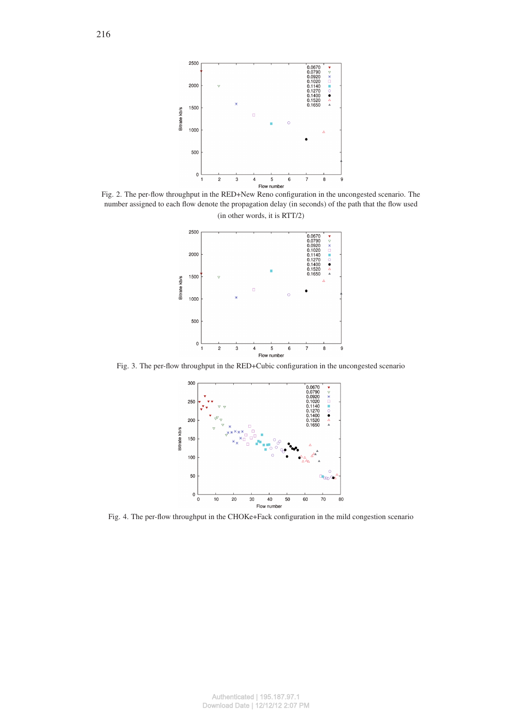

Fig. 2. The per-flow throughput in the RED+New Reno configuration in the uncongested scenario. The number assigned to each flow denote the propagation delay (in seconds) of the path that the flow used (in other words, it is RTT/2)



Fig. 3. The per-flow throughput in the RED+Cubic configuration in the uncongested scenario



Fig. 4. The per-flow throughput in the CHOKe+Fack configuration in the mild congestion scenario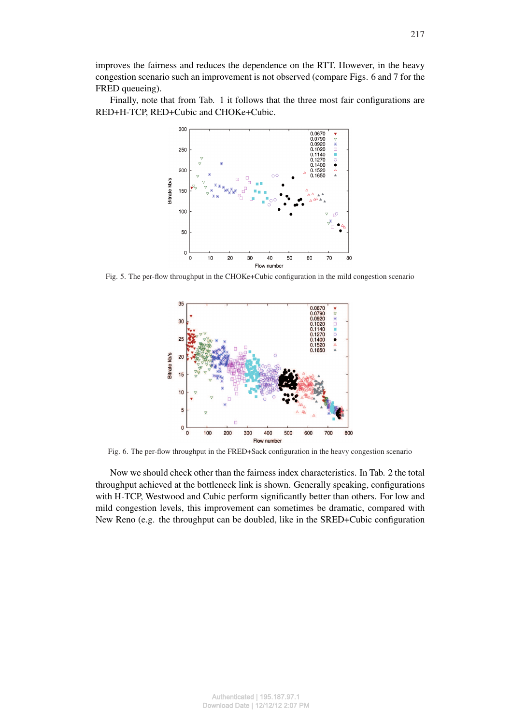Finally, note that from Tab. 1 it follows that the three most fair configurations are RED+H-TCP, RED+Cubic and CHOKe+Cubic.



Fig. 5. The per-flow throughput in the CHOKe+Cubic configuration in the mild congestion scenario



Fig. 6. The per-flow throughput in the FRED+Sack configuration in the heavy congestion scenario

Now we should check other than the fairness index characteristics. In Tab. 2 the total throughput achieved at the bottleneck link is shown. Generally speaking, configurations with H-TCP, Westwood and Cubic perform significantly better than others. For low and mild congestion levels, this improvement can sometimes be dramatic, compared with New Reno (e.g. the throughput can be doubled, like in the SRED+Cubic configuration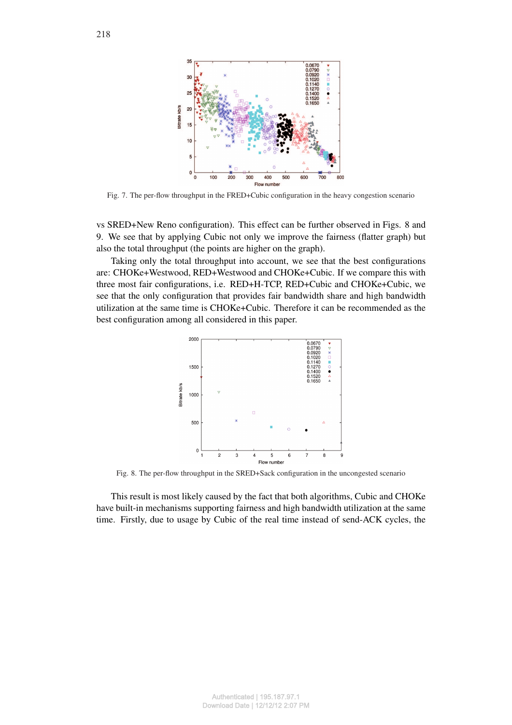

Fig. 7. The per-flow throughput in the FRED+Cubic configuration in the heavy congestion scenario

vs SRED+New Reno configuration). This effect can be further observed in Figs. 8 and 9. We see that by applying Cubic not only we improve the fairness (flatter graph) but also the total throughput (the points are higher on the graph).

Taking only the total throughput into account, we see that the best configurations are: CHOKe+Westwood, RED+Westwood and CHOKe+Cubic. If we compare this with three most fair configurations, i.e. RED+H-TCP, RED+Cubic and CHOKe+Cubic, we see that the only configuration that provides fair bandwidth share and high bandwidth utilization at the same time is CHOKe+Cubic. Therefore it can be recommended as the best configuration among all considered in this paper.



Fig. 8. The per-flow throughput in the SRED+Sack configuration in the uncongested scenario

This result is most likely caused by the fact that both algorithms, Cubic and CHOKe have built-in mechanisms supporting fairness and high bandwidth utilization at the same time. Firstly, due to usage by Cubic of the real time instead of send-ACK cycles, the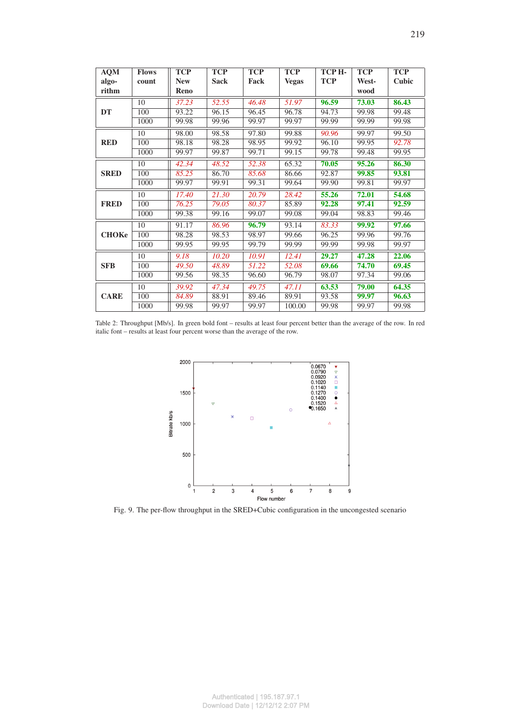| <b>AQM</b>   | <b>Flows</b> | <b>TCP</b> | <b>TCP</b>  | <b>TCP</b> | <b>TCP</b>   | ТСР Н-     | <b>TCP</b> | <b>TCP</b> |
|--------------|--------------|------------|-------------|------------|--------------|------------|------------|------------|
| algo-        | count        | <b>New</b> | <b>Sack</b> | Fack       | <b>Vegas</b> | <b>TCP</b> | West-      | Cubic      |
| rithm        |              | Reno       |             |            |              |            | wood       |            |
|              | 10           | 37.23      | 52.55       | 46.48      | 51.97        | 96.59      | 73.03      | 86.43      |
| DT           | 100          | 93.22      | 96.15       | 96.45      | 96.78        | 94.73      | 99.98      | 99.48      |
|              | 1000         | 99.98      | 99.96       | 99.97      | 99.97        | 99.99      | 99.99      | 99.98      |
|              | 10           | 98.00      | 98.58       | 97.80      | 99.88        | 90.96      | 99.97      | 99.50      |
| <b>RED</b>   | 100          | 98.18      | 98.28       | 98.95      | 99.92        | 96.10      | 99.95      | 92.78      |
|              | 1000         | 99.97      | 99.87       | 99.71      | 99.15        | 99.78      | 99.48      | 99.95      |
|              | 10           | 42.34      | 48.52       | 52.38      | 65.32        | 70.05      | 95.26      | 86.30      |
| <b>SRED</b>  | 100          | 85.25      | 86.70       | 85.68      | 86.66        | 92.87      | 99.85      | 93.81      |
|              | 1000         | 99.97      | 99.91       | 99.31      | 99.64        | 99.90      | 99.81      | 99.97      |
|              | 10           | 17.40      | 21.30       | 20.79      | 28.42        | 55.26      | 72.01      | 54.68      |
| <b>FRED</b>  | 100          | 76.25      | 79.05       | 80.37      | 85.89        | 92.28      | 97.41      | 92.59      |
|              | 1000         | 99.38      | 99.16       | 99.07      | 99.08        | 99.04      | 98.83      | 99.46      |
|              | 10           | 91.17      | 86.96       | 96.79      | 93.14        | 83.33      | 99.92      | 97.66      |
| <b>CHOKe</b> | 100          | 98.28      | 98.53       | 98.97      | 99.66        | 96.25      | 99.96      | 99.76      |
|              | 1000         | 99.95      | 99.95       | 99.79      | 99.99        | 99.99      | 99.98      | 99.97      |
|              | 10           | 9.18       | 10.20       | 10.91      | 12.41        | 29.27      | 47.28      | 22.06      |
| <b>SFB</b>   | 100          | 49.50      | 48.89       | 51.22      | 52.08        | 69.66      | 74.70      | 69.45      |
|              | 1000         | 99.56      | 98.35       | 96.60      | 96.79        | 98.07      | 97.34      | 99.06      |
|              | 10           | 39.92      | 47.34       | 49.75      | 47.11        | 63.53      | 79.00      | 64.35      |
| <b>CARE</b>  | 100          | 84.89      | 88.91       | 89.46      | 89.91        | 93.58      | 99.97      | 96.63      |
|              | 1000         | 99.98      | 99.97       | 99.97      | 100.00       | 99.98      | 99.97      | 99.98      |

Table 2: Throughput [Mb/s]. In green bold font – results at least four percent better than the average of the row. In red italic font – results at least four percent worse than the average of the row.



Fig. 9. The per-flow throughput in the SRED+Cubic configuration in the uncongested scenario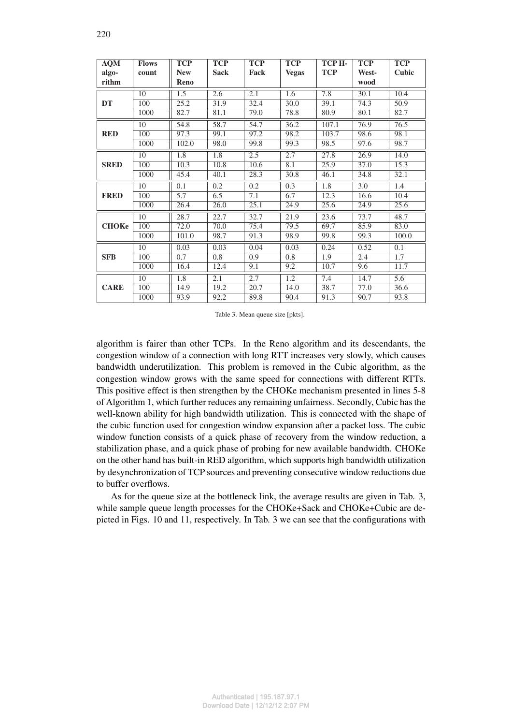| <b>AQM</b>   | <b>Flows</b> | <b>TCP</b> | <b>TCP</b>  | <b>TCP</b> | <b>TCP</b>   | TCP <sub>H</sub> . | <b>TCP</b> | <b>TCP</b> |
|--------------|--------------|------------|-------------|------------|--------------|--------------------|------------|------------|
| algo-        | count        | <b>New</b> | <b>Sack</b> | Fack       | <b>Vegas</b> | <b>TCP</b>         | West-      | Cubic      |
| rithm        |              | Reno       |             |            |              |                    | wood       |            |
|              | 10           | 1.5        | 2.6         | 2.1        | 1.6          | 7.8                | 30.1       | 10.4       |
| <b>DT</b>    | 100          | 25.2       | 31.9        | 32.4       | 30.0         | 39.1               | 74.3       | 50.9       |
|              | 1000         | 82.7       | 81.1        | 79.0       | 78.8         | 80.9               | 80.1       | 82.7       |
|              | 10           | 54.8       | 58.7        | 54.7       | 36.2         | 107.1              | 76.9       | 76.5       |
| <b>RED</b>   | 100          | 97.3       | 99.1        | 97.2       | 98.2         | 103.7              | 98.6       | 98.1       |
|              | 1000         | 102.0      | 98.0        | 99.8       | 99.3         | 98.5               | 97.6       | 98.7       |
|              | 10           | 1.8        | 1.8         | 2.5        | 2.7          | 27.8               | 26.9       | 14.0       |
| <b>SRED</b>  | 100          | 10.3       | 10.8        | 10.6       | 8.1          | 25.9               | 37.0       | 15.3       |
|              | 1000         | 45.4       | 40.1        | 28.3       | 30.8         | 46.1               | 34.8       | 32.1       |
|              | 10           | 0.1        | 0.2         | 0.2        | 0.3          | 1.8                | 3.0        | 1.4        |
| <b>FRED</b>  | 100          | 5.7        | 6.5         | 7.1        | 6.7          | 12.3               | 16.6       | 10.4       |
|              | 1000         | 26.4       | 26.0        | 25.1       | 24.9         | 25.6               | 24.9       | 25.6       |
|              | 10           | 28.7       | 22.7        | 32.7       | 21.9         | 23.6               | 73.7       | 48.7       |
| <b>CHOKe</b> | 100          | 72.0       | 70.0        | 75.4       | 79.5         | 69.7               | 85.9       | 83.0       |
|              | 1000         | 101.0      | 98.7        | 91.3       | 98.9         | 99.8               | 99.3       | 100.0      |
|              | 10           | 0.03       | 0.03        | 0.04       | 0.03         | 0.24               | 0.52       | 0.1        |
| <b>SFB</b>   | 100          | 0.7        | 0.8         | 0.9        | 0.8          | 1.9                | 2.4        | 1.7        |
|              | 1000         | 16.4       | 12.4        | 9.1        | 9.2          | 10.7               | 9.6        | 11.7       |
|              | 10           | 1.8        | 2.1         | 2.7        | 1.2          | 7.4                | 14.7       | 5.6        |
| <b>CARE</b>  | 100          | 14.9       | 19.2        | 20.7       | 14.0         | 38.7               | 77.0       | 36.6       |
|              | 1000         | 93.9       | 92.2        | 89.8       | 90.4         | 91.3               | 90.7       | 93.8       |

Table 3. Mean queue size [pkts].

algorithm is fairer than other TCPs. In the Reno algorithm and its descendants, the congestion window of a connection with long RTT increases very slowly, which causes bandwidth underutilization. This problem is removed in the Cubic algorithm, as the congestion window grows with the same speed for connections with different RTTs. This positive effect is then strengthen by the CHOKe mechanism presented in lines 5-8 of Algorithm 1, which further reduces any remaining unfairness. Secondly, Cubic has the well-known ability for high bandwidth utilization. This is connected with the shape of the cubic function used for congestion window expansion after a packet loss. The cubic window function consists of a quick phase of recovery from the window reduction, a stabilization phase, and a quick phase of probing for new available bandwidth. CHOKe on the other hand has built-in RED algorithm, which supports high bandwidth utilization by desynchronization of TCP sources and preventing consecutive window reductions due to buffer overflows.

As for the queue size at the bottleneck link, the average results are given in Tab. 3, while sample queue length processes for the CHOKe+Sack and CHOKe+Cubic are depicted in Figs. 10 and 11, respectively. In Tab. 3 we can see that the configurations with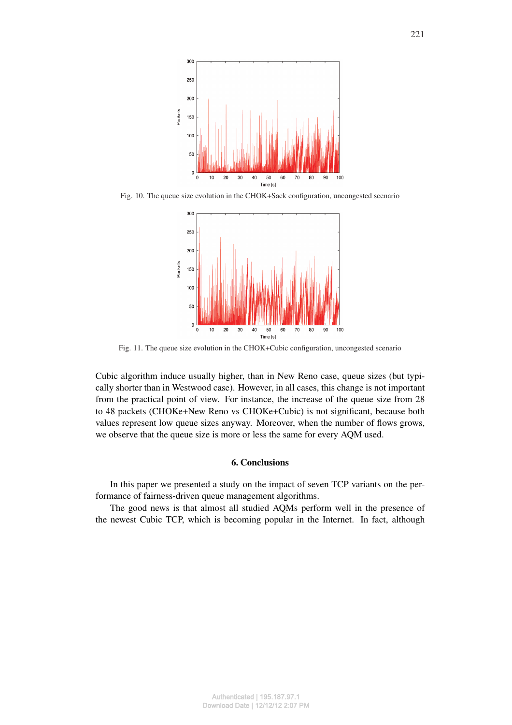

Fig. 10. The queue size evolution in the CHOK+Sack configuration, uncongested scenario



Fig. 11. The queue size evolution in the CHOK+Cubic configuration, uncongested scenario

Cubic algorithm induce usually higher, than in New Reno case, queue sizes (but typically shorter than in Westwood case). However, in all cases, this change is not important from the practical point of view. For instance, the increase of the queue size from 28 to 48 packets (CHOKe+New Reno vs CHOKe+Cubic) is not significant, because both values represent low queue sizes anyway. Moreover, when the number of flows grows, we observe that the queue size is more or less the same for every AQM used.

# 6. Conclusions

In this paper we presented a study on the impact of seven TCP variants on the performance of fairness-driven queue management algorithms.

The good news is that almost all studied AQMs perform well in the presence of the newest Cubic TCP, which is becoming popular in the Internet. In fact, although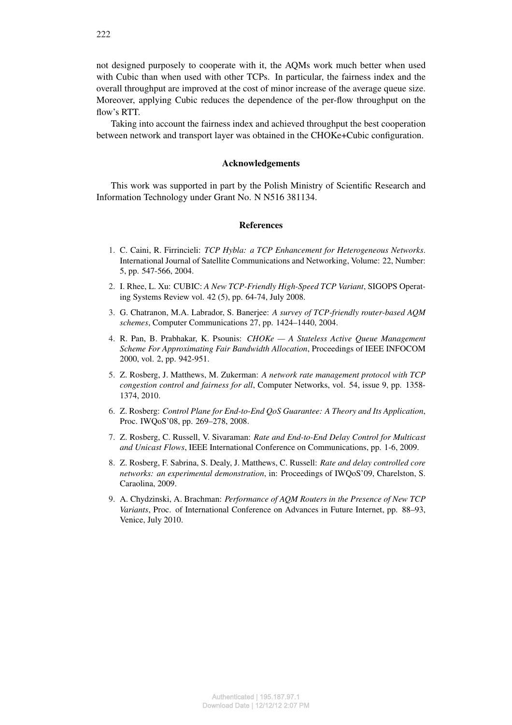not designed purposely to cooperate with it, the AQMs work much better when used with Cubic than when used with other TCPs. In particular, the fairness index and the overall throughput are improved at the cost of minor increase of the average queue size. Moreover, applying Cubic reduces the dependence of the per-flow throughput on the flow's RTT.

Taking into account the fairness index and achieved throughput the best cooperation between network and transport layer was obtained in the CHOKe+Cubic configuration.

## Acknowledgements

This work was supported in part by the Polish Ministry of Scientific Research and Information Technology under Grant No. N N516 381134.

## **References**

- 1. C. Caini, R. Firrincieli: *TCP Hybla: a TCP Enhancement for Heterogeneous Networks*. International Journal of Satellite Communications and Networking, Volume: 22, Number: 5, pp. 547-566, 2004.
- 2. I. Rhee, L. Xu: CUBIC: *A New TCP-Friendly High-Speed TCP Variant*, SIGOPS Operating Systems Review vol. 42 (5), pp. 64-74, July 2008.
- 3. G. Chatranon, M.A. Labrador, S. Banerjee: *A survey of TCP-friendly router-based AQM schemes*, Computer Communications 27, pp. 1424–1440, 2004.
- 4. R. Pan, B. Prabhakar, K. Psounis: *CHOKe A Stateless Active Queue Management Scheme For Approximating Fair Bandwidth Allocation*, Proceedings of IEEE INFOCOM 2000, vol. 2, pp. 942-951.
- 5. Z. Rosberg, J. Matthews, M. Zukerman: *A network rate management protocol with TCP congestion control and fairness for all*, Computer Networks, vol. 54, issue 9, pp. 1358- 1374, 2010.
- 6. Z. Rosberg: *Control Plane for End-to-End QoS Guarantee: A Theory and Its Application*, Proc. IWQoS'08, pp. 269–278, 2008.
- 7. Z. Rosberg, C. Russell, V. Sivaraman: *Rate and End-to-End Delay Control for Multicast and Unicast Flows*, IEEE International Conference on Communications, pp. 1-6, 2009.
- 8. Z. Rosberg, F. Sabrina, S. Dealy, J. Matthews, C. Russell: *Rate and delay controlled core networks: an experimental demonstration*, in: Proceedings of IWQoS'09, Charelston, S. Caraolina, 2009.
- 9. A. Chydzinski, A. Brachman: *Performance of AQM Routers in the Presence of New TCP Variants*, Proc. of International Conference on Advances in Future Internet, pp. 88–93, Venice, July 2010.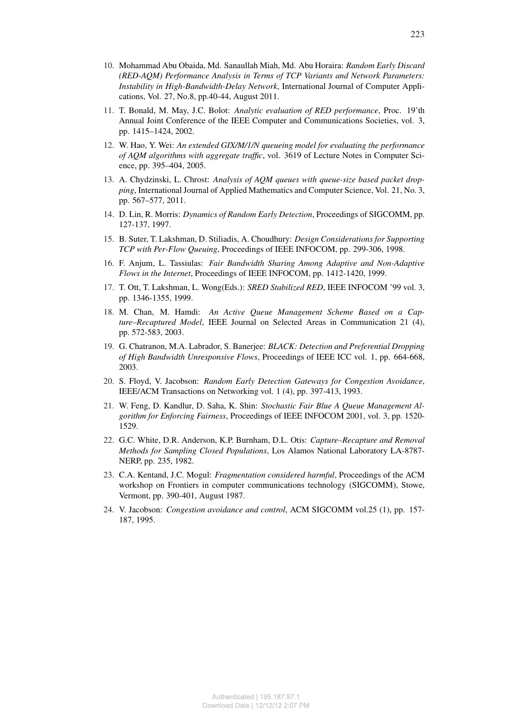- 11. T. Bonald, M. May, J.C. Bolot: *Analytic evaluation of RED performance*, Proc. 19'th Annual Joint Conference of the IEEE Computer and Communications Societies, vol. 3, pp. 1415–1424, 2002.
- 12. W. Hao, Y. Wei: *An extended GIX/M/1/N queueing model for evaluating the performance of AQM algorithms with aggregate traffic*, vol. 3619 of Lecture Notes in Computer Science, pp. 395–404, 2005.
- 13. A. Chydzinski, L. Chrost: *Analysis of AQM queues with queue-size based packet dropping*, International Journal of Applied Mathematics and Computer Science, Vol. 21, No. 3, pp. 567–577, 2011.
- 14. D. Lin, R. Morris: *Dynamics of Random Early Detection*, Proceedings of SIGCOMM, pp. 127-137, 1997.
- 15. B. Suter, T. Lakshman, D. Stiliadis, A. Choudhury: *Design Considerations for Supporting TCP with Per-Flow Queuing*, Proceedings of IEEE INFOCOM, pp. 299-306, 1998.
- 16. F. Anjum, L. Tassiulas: *Fair Bandwidth Sharing Among Adaptive and Non-Adaptive Flows in the Internet*, Proceedings of IEEE INFOCOM, pp. 1412-1420, 1999.
- 17. T. Ott, T. Lakshman, L. Wong(Eds.): *SRED Stabilized RED*, IEEE INFOCOM '99 vol. 3, pp. 1346-1355, 1999.
- 18. M. Chan, M. Hamdi: *An Active Queue Management Scheme Based on a Capture–Recaptured Model*, IEEE Journal on Selected Areas in Communication 21 (4), pp. 572-583, 2003.
- 19. G. Chatranon, M.A. Labrador, S. Banerjee: *BLACK: Detection and Preferential Dropping of High Bandwidth Unresponsive Flows*, Proceedings of IEEE ICC vol. 1, pp. 664-668, 2003.
- 20. S. Floyd, V. Jacobson: *Random Early Detection Gateways for Congestion Avoidance*, IEEE/ACM Transactions on Networking vol. 1 (4), pp. 397-413, 1993.
- 21. W. Feng, D. Kandlur, D. Saha, K. Shin: *Stochastic Fair Blue A Queue Management Algorithm for Enforcing Fairness*, Proceedings of IEEE INFOCOM 2001, vol. 3, pp. 1520- 1529.
- 22. G.C. White, D.R. Anderson, K.P. Burnham, D.L. Otis: *Capture–Recapture and Removal Methods for Sampling Closed Populations*, Los Alamos National Laboratory LA-8787- NERP, pp. 235, 1982.
- 23. C.A. Kentand, J.C. Mogul: *Fragmentation considered harmful*, Proceedings of the ACM workshop on Frontiers in computer communications technology (SIGCOMM), Stowe, Vermont, pp. 390-401, August 1987.
- 24. V. Jacobson: *Congestion avoidance and control*, ACM SIGCOMM vol.25 (1), pp. 157- 187, 1995.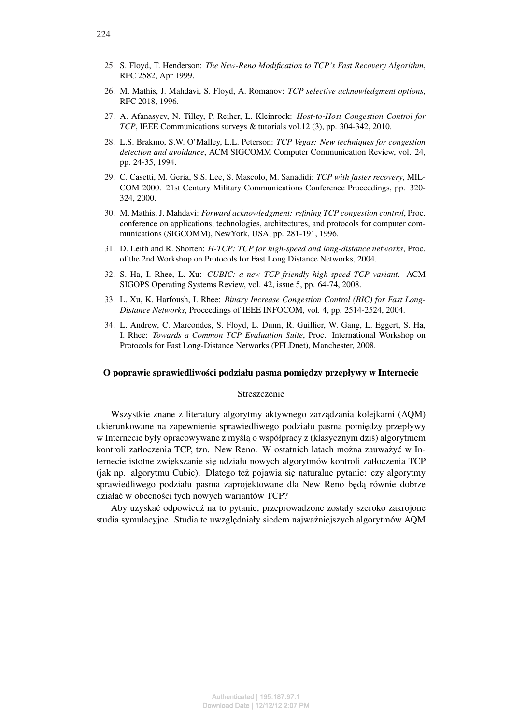- 26. M. Mathis, J. Mahdavi, S. Floyd, A. Romanov: *TCP selective acknowledgment options*, RFC 2018, 1996.
- 27. A. Afanasyev, N. Tilley, P. Reiher, L. Kleinrock: *Host-to-Host Congestion Control for TCP*, IEEE Communications surveys & tutorials vol.12 (3), pp. 304-342, 2010.
- 28. L.S. Brakmo, S.W. O'Malley, L.L. Peterson: *TCP Vegas: New techniques for congestion detection and avoidance*, ACM SIGCOMM Computer Communication Review, vol. 24, pp. 24-35, 1994.
- 29. C. Casetti, M. Geria, S.S. Lee, S. Mascolo, M. Sanadidi: *TCP with faster recovery*, MIL-COM 2000. 21st Century Military Communications Conference Proceedings, pp. 320- 324, 2000.
- 30. M. Mathis, J. Mahdavi: *Forward acknowledgment: refining TCP congestion control*, Proc. conference on applications, technologies, architectures, and protocols for computer communications (SIGCOMM), NewYork, USA, pp. 281-191, 1996.
- 31. D. Leith and R. Shorten: *H-TCP: TCP for high-speed and long-distance networks*, Proc. of the 2nd Workshop on Protocols for Fast Long Distance Networks, 2004.
- 32. S. Ha, I. Rhee, L. Xu: *CUBIC: a new TCP-friendly high-speed TCP variant*. ACM SIGOPS Operating Systems Review, vol. 42, issue 5, pp. 64-74, 2008.
- 33. L. Xu, K. Harfoush, I. Rhee: *Binary Increase Congestion Control (BIC) for Fast Long-Distance Networks*, Proceedings of IEEE INFOCOM, vol. 4, pp. 2514-2524, 2004.
- 34. L. Andrew, C. Marcondes, S. Floyd, L. Dunn, R. Guillier, W. Gang, L. Eggert, S. Ha, I. Rhee: *Towards a Common TCP Evaluation Suite*, Proc. International Workshop on Protocols for Fast Long-Distance Networks (PFLDnet), Manchester, 2008.

### O poprawie sprawiedliwości podziału pasma pomiedzy przepływy w Internecie

## Streszczenie

Wszystkie znane z literatury algorytmy aktywnego zarządzania kolejkami (AQM) ukierunkowane na zapewnienie sprawiedliwego podziału pasma pomiędzy przepływy w Internecie były opracowywane z myślą o współpracy z (klasycznym dziś) algorytmem kontroli zatłoczenia TCP, tzn. New Reno. W ostatnich latach można zauważyć w Internecie istotne zwi˛ekszanie si˛e udziału nowych algorytmów kontroli zatłoczenia TCP  $(jak np.$  algorytmu Cubic). Dlatego też pojawia się naturalne pytanie: czy algorytmy sprawiedliwego podziału pasma zaprojektowane dla New Reno będą równie dobrze działać w obecności tych nowych wariantów TCP?

Aby uzyskać odpowiedź na to pytanie, przeprowadzone zostały szeroko zakrojone studia symulacyjne. Studia te uwzględniały siedem najważniejszych algorytmów AQM